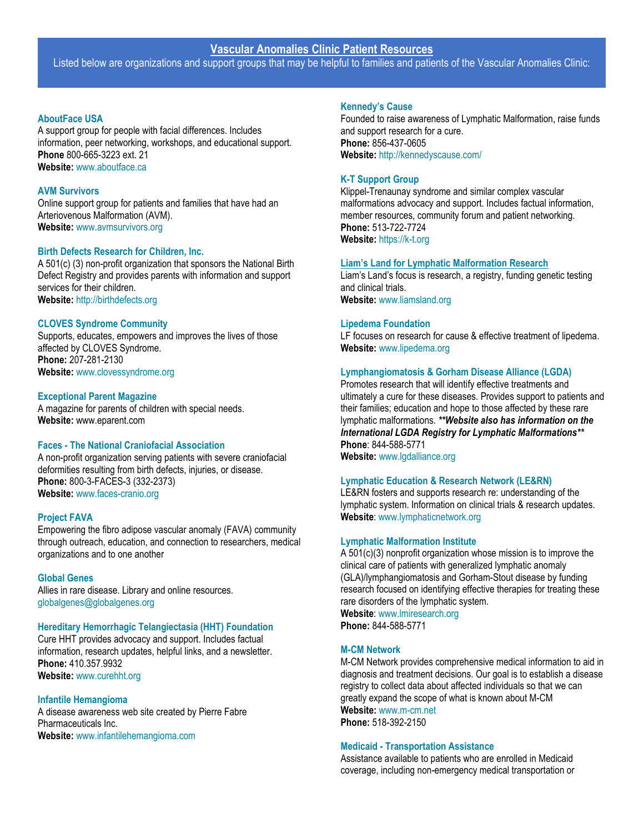# **Vascular Anomalies Clinic Patient Resources**

Listed below are organizations and support groups that may be helpful to families and patients of the Vascular Anomalies Clinic:

## **[AboutFace USA](http://www.aboutface.ca/)**

A support group for people with facial differences. Includes information, peer networking, workshops, and educational support. **Phone** 800-665-3223 ext. 21 **Website:** [www.aboutface.ca](http://www.aboutface.ca/)

## **[AVM Survivors](http://www.avmsurvivors.org/)**

Online support group for patients and families that have had an Arteriovenous Malformation (AVM). **Website:** [www.avmsurvivors.org](http://www.avmsurvivors.org/)

## **[Birth Defects Research for Children, Inc.](http://birthdefects.org/)**

A 501(c) (3) non-profit organization that sponsors the National Birth Defect Registry and provides parents with information and support services for their children. **Website:** [http://birthdefects.org](http://birthdefects.org/)

# **[CLOVES Syndrome Community](http://clovessyndrome.org/)**

Supports, educates, empowers and improves the lives of those affected by CLOVES Syndrome. **Phone:** 207-281-2130 **Website:** [www.clovessyndrome.org](http://www.clovessyndrome.org/)

## **Exceptional Parent Magazine**

A magazine for parents of children with special needs. **Website:** [www.eparent.com](http://www.eparent.com/)

## **Faces - [The National Craniofacial Association](http://www.faces-cranio.org/)**

A non-profit organization serving patients with severe craniofacial deformities resulting from birth defects, injuries, or disease. **Phone:** 800-3-FACES-3 (332-2373) **Website:** [www.faces-cranio.org](http://www.faces-cranio.org/)

## **[Project FAVA](https://www.projectfava.org/)**

Empowering the fibro adipose vascular anomaly (FAVA) community through outreach, education, and connection to researchers, medical organizations and to one another

## **[Global Genes](https://globalgenes.org/)**

Allies in rare disease. Library and online resources. [globalgenes@globalgenes.org](mailto:globalgenes@globalgenes.org)

## **[Hereditary Hemorrhagic Telangiectasia \(HHT\) Foundation](http://www.curehht.org/)**

Cure HHT provides advocacy and support. Includes factual information, research updates, helpful links, and a newsletter. **Phone:** 410.357.9932 **Website:** [www.curehht.org](http://www.curehht.org/)

# **[Infantile Hemangioma](https://www.infantilehemangioma.com/)**

A disease awareness web site created by Pierre Fabre Pharmaceuticals Inc. **Website:** [www.infantilehemangioma.com](http://www.infantilehemangioma.com/)

#### **[Kennedy's Cause](http://kennedyscause.com/)**

Founded to raise awareness of Lymphatic Malformation, raise funds and support research for a cure. **Phone:** 856-437-0605 **Website:** <http://kennedyscause.com/>

## **[K-T Support Group](http://k-t.org/)**

Klippel-Trenaunay syndrome and similar complex vascular malformations advocacy and support. Includes factual information, member resources, community forum and patient networking. **Phone:** 513-722-7724 **Website:** [https://k-t.org](https://k-t.org/)

#### **[Liam's Land for Lymphatic Malformation Research](http://www.liamsland.org/)**

Liam's Land's focus is research, a registry, funding genetic testing and clinical trials. **Website:** [www.liamsland.org](http://www.liamsland.org/)

## **[Lipedema Foundation](http://www.lipedema.org/)**

LF focuses on research for cause & effective treatment of lipedema. **Website:** [www.lipedema.org](http://www.lipedema.org/)

# **[Lymphangiomatosis & Gorham Disease Alliance \(LGDA\)](http://www.lgdalliance.org/)**

Promotes research that will identify effective treatments and ultimately a cure for these diseases. Provides support to patients and their families; education and hope to those affected by these rare lymphatic malformations. *\*\*Website also has information on the International LGDA Registry for Lymphatic Malformations\*\** **Phone**: 844-588-5771 **Website:** [www.lgdalliance.org](http://www.lgdalliance.org/)

# **[Lymphatic Education & Research Network \(LE&RN\)](http://www.lymphaticnetwork.org/)**

LE&RN fosters and supports research re: understanding of the lymphatic system. Information on clinical trials & research updates. **Website**: [www.lymphaticnetwork.org](http://www.lymphaticnetwork.org/)

## **[Lymphatic Malformation Institute](http://www.lmiresearch.org/)**

A 501(c)(3) nonprofit organization whose mission is to improve the clinical care of patients with generalized lymphatic anomaly (GLA)/lymphangiomatosis and Gorham-Stout disease by funding research focused on identifying effective therapies for treating these rare disorders of the lymphatic system.

**Website**: [www.lmiresearch.org](http://www.lmiresearch.org/) **Phone:** 844-588-5771

## **[M-CM Network](https://www.m-cm.net/)**

M-CM Network provides comprehensive medical information to aid in diagnosis and treatment decisions. Our goal is to establish a disease registry to collect data about affected individuals so that we can greatly expand the scope of what is known about M-CM **Website:** [www.m-cm.net](http://www.m-cm.net/) **Phone:** 518-392-2150

## **Medicaid - [Transportation Assistance](https://www.cms.gov/Medicare-Medicaid-Coordination/Fraud-Prevention/Medicaid-Integrity-Education/Downloads/nemt-factsheet.pdf)**

Assistance available to patients who are enrolled in Medicaid coverage, including non-emergency medical transportation or